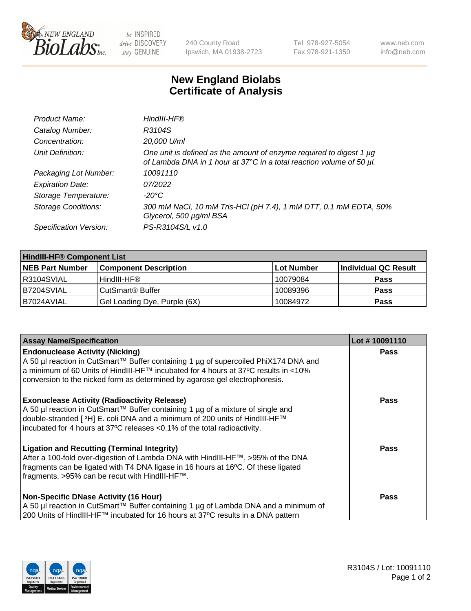

 $be$  INSPIRED drive DISCOVERY stay GENUINE

240 County Road Ipswich, MA 01938-2723 Tel 978-927-5054 Fax 978-921-1350 www.neb.com info@neb.com

## **New England Biolabs Certificate of Analysis**

| Product Name:              | HindIII-HF®                                                                                                                                      |
|----------------------------|--------------------------------------------------------------------------------------------------------------------------------------------------|
| Catalog Number:            | R3104S                                                                                                                                           |
| Concentration:             | 20,000 U/ml                                                                                                                                      |
| Unit Definition:           | One unit is defined as the amount of enzyme required to digest 1 $\mu$ g<br>of Lambda DNA in 1 hour at 37°C in a total reaction volume of 50 µl. |
| Packaging Lot Number:      | 10091110                                                                                                                                         |
| <b>Expiration Date:</b>    | 07/2022                                                                                                                                          |
| Storage Temperature:       | $-20^{\circ}$ C                                                                                                                                  |
| <b>Storage Conditions:</b> | 300 mM NaCl, 10 mM Tris-HCl (pH 7.4), 1 mM DTT, 0.1 mM EDTA, 50%<br>Glycerol, 500 µg/ml BSA                                                      |
| Specification Version:     | PS-R3104S/L v1.0                                                                                                                                 |

| <b>HindIII-HF® Component List</b> |                              |            |                      |  |  |
|-----------------------------------|------------------------------|------------|----------------------|--|--|
| <b>NEB Part Number</b>            | <b>Component Description</b> | Lot Number | Individual QC Result |  |  |
| IR3104SVIAL                       | HindIII-HF®                  | 10079084   | <b>Pass</b>          |  |  |
| B7204SVIAL                        | CutSmart <sup>®</sup> Buffer | 10089396   | <b>Pass</b>          |  |  |
| I B7024AVIAL                      | Gel Loading Dye, Purple (6X) | 10084972   | <b>Pass</b>          |  |  |

| <b>Assay Name/Specification</b>                                                                                                                                                                                                                                                                                 | Lot #10091110 |
|-----------------------------------------------------------------------------------------------------------------------------------------------------------------------------------------------------------------------------------------------------------------------------------------------------------------|---------------|
| <b>Endonuclease Activity (Nicking)</b><br>  A 50 µl reaction in CutSmart™ Buffer containing 1 µg of supercoiled PhiX174 DNA and                                                                                                                                                                                 | <b>Pass</b>   |
| a minimum of 60 Units of HindIII-HF™ incubated for 4 hours at 37ºC results in <10%<br>conversion to the nicked form as determined by agarose gel electrophoresis.                                                                                                                                               |               |
| <b>Exonuclease Activity (Radioactivity Release)</b><br>  A 50 µl reaction in CutSmart™ Buffer containing 1 µg of a mixture of single and<br>double-stranded [ <sup>3</sup> H] E. coli DNA and a minimum of 200 units of HindIII-HF™<br>incubated for 4 hours at 37°C releases <0.1% of the total radioactivity. | <b>Pass</b>   |
| <b>Ligation and Recutting (Terminal Integrity)</b><br>After a 100-fold over-digestion of Lambda DNA with HindIII-HF™, >95% of the DNA<br>fragments can be ligated with T4 DNA ligase in 16 hours at 16°C. Of these ligated<br>fragments, >95% can be recut with HindIII-HF™.                                    | Pass          |
| <b>Non-Specific DNase Activity (16 Hour)</b><br>A 50 µl reaction in CutSmart™ Buffer containing 1 µg of Lambda DNA and a minimum of                                                                                                                                                                             | <b>Pass</b>   |
| 200 Units of HindIII-HF™ incubated for 16 hours at 37°C results in a DNA pattern                                                                                                                                                                                                                                |               |